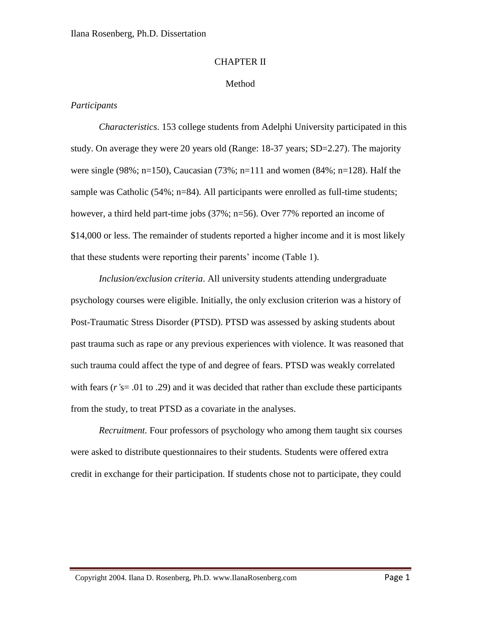#### CHAPTER II

### Method

## *Participants*

*Characteristics*. 153 college students from Adelphi University participated in this study. On average they were 20 years old (Range: 18-37 years; SD=2.27). The majority were single (98%; n=150), Caucasian (73%; n=111 and women (84%; n=128). Half the sample was Catholic (54%; n=84). All participants were enrolled as full-time students; however, a third held part-time jobs (37%; n=56). Over 77% reported an income of \$14,000 or less. The remainder of students reported a higher income and it is most likely that these students were reporting their parents' income (Table 1).

*Inclusion/exclusion criteria*. All university students attending undergraduate psychology courses were eligible. Initially, the only exclusion criterion was a history of Post-Traumatic Stress Disorder (PTSD). PTSD was assessed by asking students about past trauma such as rape or any previous experiences with violence. It was reasoned that such trauma could affect the type of and degree of fears. PTSD was weakly correlated with fears (*r'*s= .01 to .29) and it was decided that rather than exclude these participants from the study, to treat PTSD as a covariate in the analyses.

*Recruitment.* Four professors of psychology who among them taught six courses were asked to distribute questionnaires to their students. Students were offered extra credit in exchange for their participation. If students chose not to participate, they could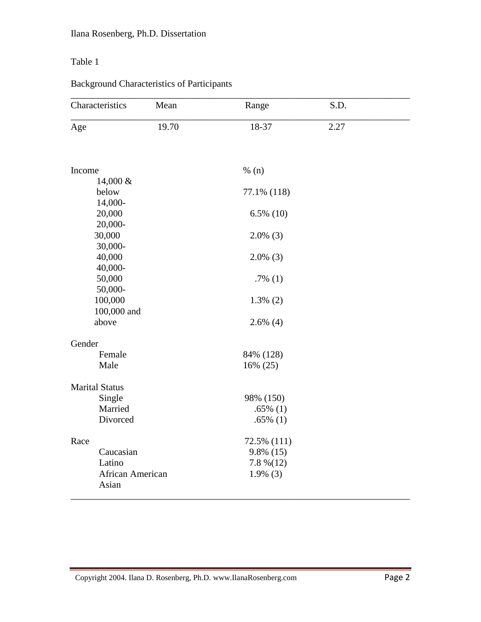## Table 1

# Background Characteristics of Participants

| Characteristics                         | Mean  | Range                                       | S.D. |  |
|-----------------------------------------|-------|---------------------------------------------|------|--|
| Age                                     | 19.70 | 18-37                                       | 2.27 |  |
| Income                                  |       | % $(n)$                                     |      |  |
| 14,000 &<br>below                       |       | 77.1% (118)                                 |      |  |
| 14,000-<br>20,000<br>20,000-            |       | $6.5\%$ (10)                                |      |  |
| 30,000<br>30,000-                       |       | $2.0\%$ (3)                                 |      |  |
| 40,000<br>40,000-                       |       | $2.0\%$ (3)                                 |      |  |
| 50,000<br>50,000-                       |       | .7% $(1)$                                   |      |  |
| 100,000<br>100,000 and                  |       | $1.3\%$ (2)                                 |      |  |
| above<br>Gender                         |       | $2.6\%$ (4)                                 |      |  |
| Female<br>Male                          |       | 84% (128)<br>16% (25)                       |      |  |
| <b>Marital Status</b>                   |       |                                             |      |  |
| Single<br>Married<br>Divorced           |       | 98% (150)<br>$.65\%$ (1)<br>$.65\%$ (1)     |      |  |
| Race                                    |       | 72.5% (111)                                 |      |  |
| Caucasian<br>Latino<br>African American |       | $9.8\%$ (15)<br>$7.8\% (12)$<br>$1.9\%$ (3) |      |  |
| Asian                                   |       |                                             |      |  |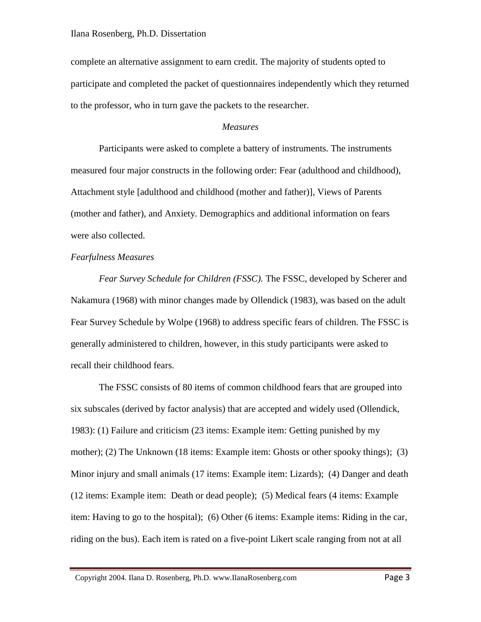complete an alternative assignment to earn credit. The majority of students opted to participate and completed the packet of questionnaires independently which they returned to the professor, who in turn gave the packets to the researcher.

#### *Measures*

Participants were asked to complete a battery of instruments. The instruments measured four major constructs in the following order: Fear (adulthood and childhood), Attachment style [adulthood and childhood (mother and father)], Views of Parents (mother and father), and Anxiety. Demographics and additional information on fears were also collected.

### *Fearfulness Measures*

*Fear Survey Schedule for Children (FSSC).* The FSSC, developed by Scherer and Nakamura (1968) with minor changes made by Ollendick (1983), was based on the adult Fear Survey Schedule by Wolpe (1968) to address specific fears of children. The FSSC is generally administered to children, however, in this study participants were asked to recall their childhood fears.

The FSSC consists of 80 items of common childhood fears that are grouped into six subscales (derived by factor analysis) that are accepted and widely used (Ollendick, 1983): (1) Failure and criticism (23 items: Example item: Getting punished by my mother); (2) The Unknown (18 items: Example item: Ghosts or other spooky things); (3) Minor injury and small animals (17 items: Example item: Lizards); (4) Danger and death (12 items: Example item: Death or dead people); (5) Medical fears (4 items: Example item: Having to go to the hospital); (6) Other (6 items: Example items: Riding in the car, riding on the bus). Each item is rated on a five-point Likert scale ranging from not at all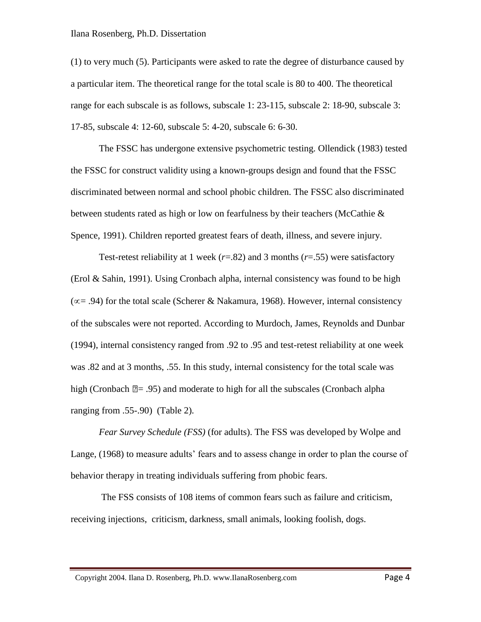(1) to very much (5). Participants were asked to rate the degree of disturbance caused by a particular item. The theoretical range for the total scale is 80 to 400. The theoretical range for each subscale is as follows, subscale 1: 23-115, subscale 2: 18-90, subscale 3: 17-85, subscale 4: 12-60, subscale 5: 4-20, subscale 6: 6-30.

The FSSC has undergone extensive psychometric testing. Ollendick (1983) tested the FSSC for construct validity using a known-groups design and found that the FSSC discriminated between normal and school phobic children. The FSSC also discriminated between students rated as high or low on fearfulness by their teachers (McCathie  $\&$ Spence, 1991). Children reported greatest fears of death, illness, and severe injury.

Test-retest reliability at 1 week  $(r=.82)$  and 3 months  $(r=.55)$  were satisfactory (Erol & Sahin, 1991). Using Cronbach alpha, internal consistency was found to be high  $(\infty = .94)$  for the total scale (Scherer & Nakamura, 1968). However, internal consistency of the subscales were not reported. According to Murdoch, James, Reynolds and Dunbar (1994), internal consistency ranged from .92 to .95 and test-retest reliability at one week was .82 and at 3 months, .55. In this study, internal consistency for the total scale was high (Cronbach  $\mathbb{Z}$ = .95) and moderate to high for all the subscales (Cronbach alpha ranging from .55-.90) (Table 2).

*Fear Survey Schedule (FSS)* (for adults). The FSS was developed by Wolpe and Lange, (1968) to measure adults' fears and to assess change in order to plan the course of behavior therapy in treating individuals suffering from phobic fears.

The FSS consists of 108 items of common fears such as failure and criticism, receiving injections, criticism, darkness, small animals, looking foolish, dogs.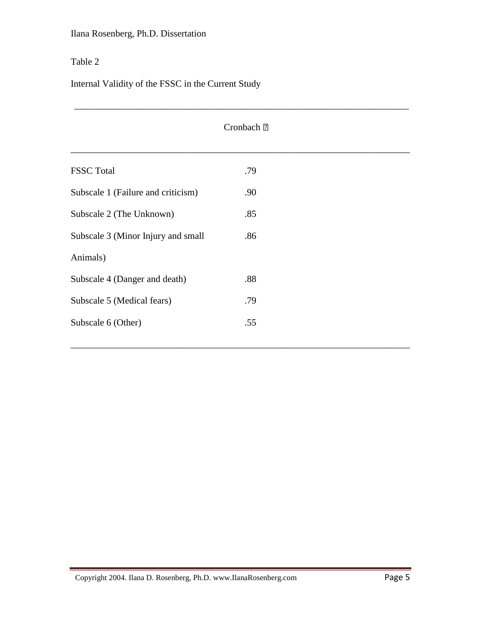## Table 2

Internal Validity of the FSSC in the Current Study

| Cronbach <b>2</b>                  |     |  |  |  |
|------------------------------------|-----|--|--|--|
| <b>FSSC</b> Total                  | .79 |  |  |  |
| Subscale 1 (Failure and criticism) | .90 |  |  |  |
| Subscale 2 (The Unknown)           | .85 |  |  |  |
| Subscale 3 (Minor Injury and small | .86 |  |  |  |
| Animals)                           |     |  |  |  |
| Subscale 4 (Danger and death)      | .88 |  |  |  |
| Subscale 5 (Medical fears)         | .79 |  |  |  |
| Subscale 6 (Other)                 | .55 |  |  |  |
|                                    |     |  |  |  |

\_\_\_\_\_\_\_\_\_\_\_\_\_\_\_\_\_\_\_\_\_\_\_\_\_\_\_\_\_\_\_\_\_\_\_\_\_\_\_\_\_\_\_\_\_\_\_\_\_\_\_\_\_\_\_\_\_\_\_\_\_\_\_\_\_\_\_\_\_\_\_\_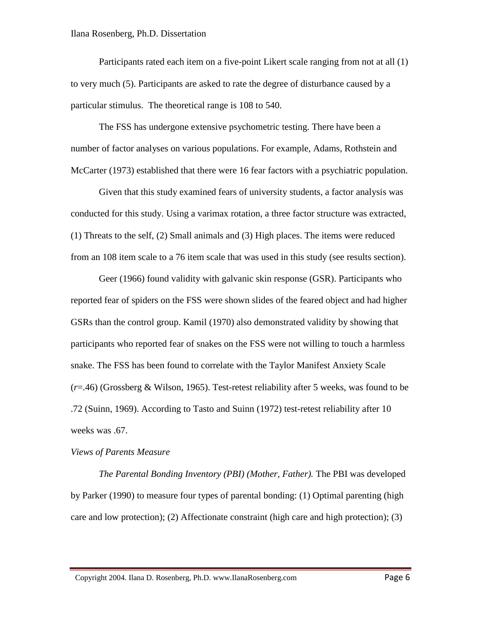Participants rated each item on a five-point Likert scale ranging from not at all (1) to very much (5). Participants are asked to rate the degree of disturbance caused by a particular stimulus. The theoretical range is 108 to 540.

The FSS has undergone extensive psychometric testing. There have been a number of factor analyses on various populations. For example, Adams, Rothstein and McCarter (1973) established that there were 16 fear factors with a psychiatric population.

Given that this study examined fears of university students, a factor analysis was conducted for this study. Using a varimax rotation, a three factor structure was extracted, (1) Threats to the self, (2) Small animals and (3) High places. The items were reduced from an 108 item scale to a 76 item scale that was used in this study (see results section).

Geer (1966) found validity with galvanic skin response (GSR). Participants who reported fear of spiders on the FSS were shown slides of the feared object and had higher GSRs than the control group. Kamil (1970) also demonstrated validity by showing that participants who reported fear of snakes on the FSS were not willing to touch a harmless snake. The FSS has been found to correlate with the Taylor Manifest Anxiety Scale (*r*=.46) (Grossberg & Wilson, 1965). Test-retest reliability after 5 weeks, was found to be .72 (Suinn, 1969). According to Tasto and Suinn (1972) test-retest reliability after 10 weeks was .67.

#### *Views of Parents Measure*

*The Parental Bonding Inventory (PBI) (Mother, Father).* The PBI was developed by Parker (1990) to measure four types of parental bonding: (1) Optimal parenting (high care and low protection); (2) Affectionate constraint (high care and high protection); (3)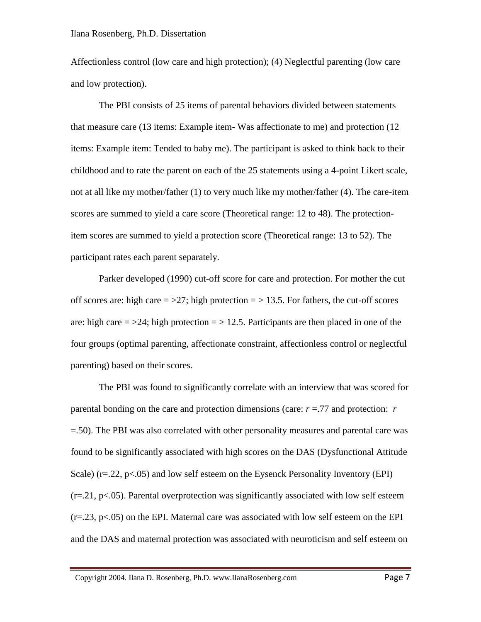Affectionless control (low care and high protection); (4) Neglectful parenting (low care and low protection).

The PBI consists of 25 items of parental behaviors divided between statements that measure care (13 items: Example item- Was affectionate to me) and protection (12 items: Example item: Tended to baby me). The participant is asked to think back to their childhood and to rate the parent on each of the 25 statements using a 4-point Likert scale, not at all like my mother/father (1) to very much like my mother/father (4). The care-item scores are summed to yield a care score (Theoretical range: 12 to 48). The protectionitem scores are summed to yield a protection score (Theoretical range: 13 to 52). The participant rates each parent separately.

Parker developed (1990) cut-off score for care and protection. For mother the cut off scores are: high care  $=$   $>$ 27; high protection  $=$   $>$  13.5. For fathers, the cut-off scores are: high care  $=$  >24; high protection  $=$  > 12.5. Participants are then placed in one of the four groups (optimal parenting, affectionate constraint, affectionless control or neglectful parenting) based on their scores.

The PBI was found to significantly correlate with an interview that was scored for parental bonding on the care and protection dimensions (care: *r* =.77 and protection: *r*  =.50). The PBI was also correlated with other personality measures and parental care was found to be significantly associated with high scores on the DAS (Dysfunctional Attitude Scale) (r=.22, p<.05) and low self esteem on the Eysenck Personality Inventory (EPI)  $(r=21, p<0.05)$ . Parental overprotection was significantly associated with low self esteem  $(r=.23, p<.05)$  on the EPI. Maternal care was associated with low self esteem on the EPI and the DAS and maternal protection was associated with neuroticism and self esteem on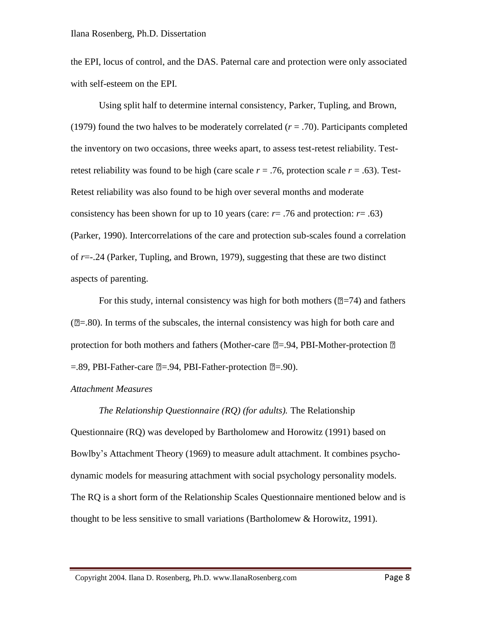the EPI, locus of control, and the DAS. Paternal care and protection were only associated with self-esteem on the EPI.

Using split half to determine internal consistency, Parker, Tupling, and Brown, (1979) found the two halves to be moderately correlated  $(r = .70)$ . Participants completed the inventory on two occasions, three weeks apart, to assess test-retest reliability. Testretest reliability was found to be high (care scale  $r = .76$ , protection scale  $r = .63$ ). Test-Retest reliability was also found to be high over several months and moderate consistency has been shown for up to 10 years (care:  $r = .76$  and protection:  $r = .63$ ) (Parker, 1990). Intercorrelations of the care and protection sub-scales found a correlation of *r*=-.24 (Parker, Tupling, and Brown, 1979), suggesting that these are two distinct aspects of parenting.

For this study, internal consistency was high for both mothers ( $\mathbb{Z}=74$ ) and fathers  $(2=80)$ . In terms of the subscales, the internal consistency was high for both care and protection for both mothers and fathers (Mother-care  $\mathbb{Z} = .94$ , PBI-Mother-protection  $\mathbb{Z}$ )  $=$ .89, PBI-Father-care  $\mathbb{Z}$ =.94, PBI-Father-protection  $\mathbb{Z}$ =.90).

## *Attachment Measures*

*The Relationship Questionnaire (RQ) (for adults).* The Relationship Questionnaire (RQ) was developed by Bartholomew and Horowitz (1991) based on Bowlby's Attachment Theory (1969) to measure adult attachment. It combines psychodynamic models for measuring attachment with social psychology personality models. The RQ is a short form of the Relationship Scales Questionnaire mentioned below and is thought to be less sensitive to small variations (Bartholomew & Horowitz, 1991).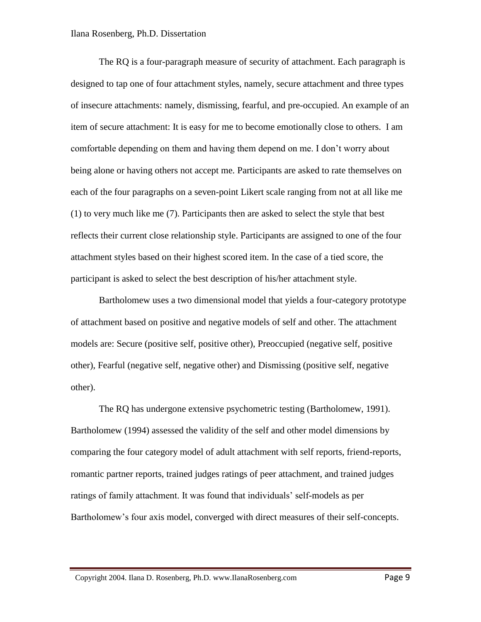The RQ is a four-paragraph measure of security of attachment. Each paragraph is designed to tap one of four attachment styles, namely, secure attachment and three types of insecure attachments: namely, dismissing, fearful, and pre-occupied. An example of an item of secure attachment: It is easy for me to become emotionally close to others. I am comfortable depending on them and having them depend on me. I don't worry about being alone or having others not accept me*.* Participants are asked to rate themselves on each of the four paragraphs on a seven-point Likert scale ranging from not at all like me (1) to very much like me (7). Participants then are asked to select the style that best reflects their current close relationship style. Participants are assigned to one of the four attachment styles based on their highest scored item. In the case of a tied score, the participant is asked to select the best description of his/her attachment style.

Bartholomew uses a two dimensional model that yields a four-category prototype of attachment based on positive and negative models of self and other. The attachment models are: Secure (positive self, positive other), Preoccupied (negative self, positive other), Fearful (negative self, negative other) and Dismissing (positive self, negative other).

The RQ has undergone extensive psychometric testing (Bartholomew, 1991). Bartholomew (1994) assessed the validity of the self and other model dimensions by comparing the four category model of adult attachment with self reports, friend-reports, romantic partner reports, trained judges ratings of peer attachment, and trained judges ratings of family attachment. It was found that individuals' self-models as per Bartholomew's four axis model, converged with direct measures of their self-concepts.

Copyright 2004. Ilana D. Rosenberg, Ph.D. www.IlanaRosenberg.com Page 9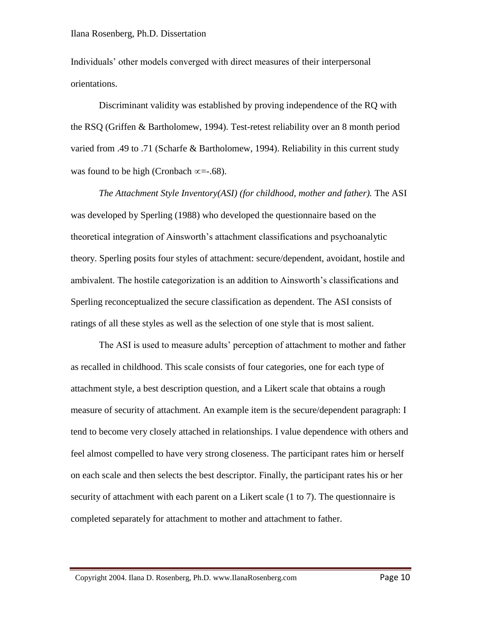Individuals' other models converged with direct measures of their interpersonal orientations.

Discriminant validity was established by proving independence of the RQ with the RSQ (Griffen & Bartholomew, 1994). Test-retest reliability over an 8 month period varied from .49 to .71 (Scharfe & Bartholomew, 1994). Reliability in this current study was found to be high (Cronbach  $\infty = -0.68$ ).

*The Attachment Style Inventory(ASI) (for childhood, mother and father).* The ASI was developed by Sperling (1988) who developed the questionnaire based on the theoretical integration of Ainsworth's attachment classifications and psychoanalytic theory. Sperling posits four styles of attachment: secure/dependent, avoidant, hostile and ambivalent. The hostile categorization is an addition to Ainsworth's classifications and Sperling reconceptualized the secure classification as dependent. The ASI consists of ratings of all these styles as well as the selection of one style that is most salient.

The ASI is used to measure adults' perception of attachment to mother and father as recalled in childhood. This scale consists of four categories, one for each type of attachment style, a best description question, and a Likert scale that obtains a rough measure of security of attachment. An example item is the secure/dependent paragraph: I tend to become very closely attached in relationships. I value dependence with others and feel almost compelled to have very strong closeness. The participant rates him or herself on each scale and then selects the best descriptor. Finally, the participant rates his or her security of attachment with each parent on a Likert scale (1 to 7). The questionnaire is completed separately for attachment to mother and attachment to father.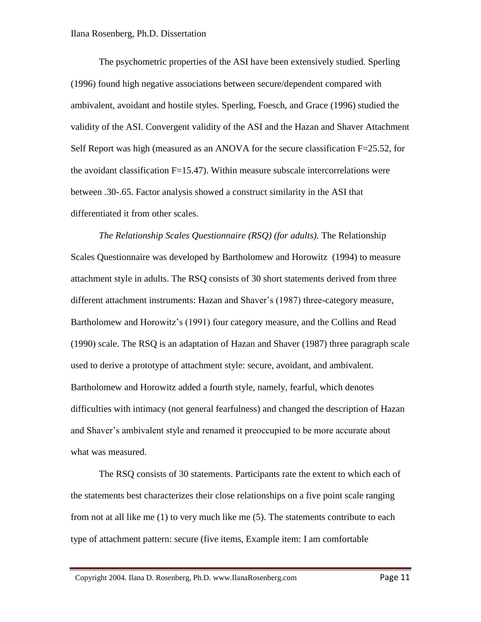The psychometric properties of the ASI have been extensively studied. Sperling (1996) found high negative associations between secure/dependent compared with ambivalent, avoidant and hostile styles. Sperling, Foesch, and Grace (1996) studied the validity of the ASI. Convergent validity of the ASI and the Hazan and Shaver Attachment Self Report was high (measured as an ANOVA for the secure classification F=25.52, for the avoidant classification F=15.47). Within measure subscale intercorrelations were between .30-.65. Factor analysis showed a construct similarity in the ASI that differentiated it from other scales.

*The Relationship Scales Questionnaire (RSQ) (for adults).* The Relationship Scales Questionnaire was developed by Bartholomew and Horowitz (1994) to measure attachment style in adults. The RSQ consists of 30 short statements derived from three different attachment instruments: Hazan and Shaver's (1987) three-category measure, Bartholomew and Horowitz's (1991) four category measure, and the Collins and Read (1990) scale. The RSQ is an adaptation of Hazan and Shaver (1987) three paragraph scale used to derive a prototype of attachment style: secure, avoidant, and ambivalent. Bartholomew and Horowitz added a fourth style, namely, fearful, which denotes difficulties with intimacy (not general fearfulness) and changed the description of Hazan and Shaver's ambivalent style and renamed it preoccupied to be more accurate about what was measured.

The RSQ consists of 30 statements. Participants rate the extent to which each of the statements best characterizes their close relationships on a five point scale ranging from not at all like me (1) to very much like me (5). The statements contribute to each type of attachment pattern: secure (five items, Example item: I am comfortable

Copyright 2004. Ilana D. Rosenberg, Ph.D. www.IlanaRosenberg.com Page 11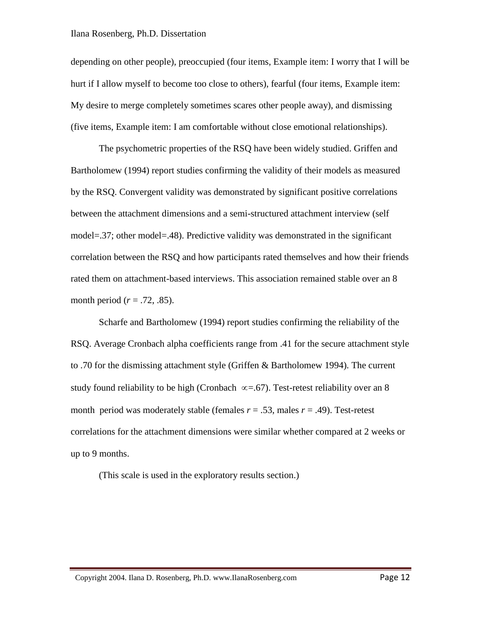depending on other people), preoccupied (four items, Example item: I worry that I will be hurt if I allow myself to become too close to others), fearful (four items, Example item: My desire to merge completely sometimes scares other people away), and dismissing (five items, Example item: I am comfortable without close emotional relationships).

The psychometric properties of the RSQ have been widely studied. Griffen and Bartholomew (1994) report studies confirming the validity of their models as measured by the RSQ. Convergent validity was demonstrated by significant positive correlations between the attachment dimensions and a semi-structured attachment interview (self model=.37; other model=.48). Predictive validity was demonstrated in the significant correlation between the RSQ and how participants rated themselves and how their friends rated them on attachment-based interviews. This association remained stable over an 8 month period  $(r = .72, .85)$ .

Scharfe and Bartholomew (1994) report studies confirming the reliability of the RSQ. Average Cronbach alpha coefficients range from .41 for the secure attachment style to .70 for the dismissing attachment style (Griffen & Bartholomew 1994). The current study found reliability to be high (Cronbach  $\infty = .67$ ). Test-retest reliability over an 8 month period was moderately stable (females  $r = .53$ , males  $r = .49$ ). Test-retest correlations for the attachment dimensions were similar whether compared at 2 weeks or up to 9 months.

(This scale is used in the exploratory results section.)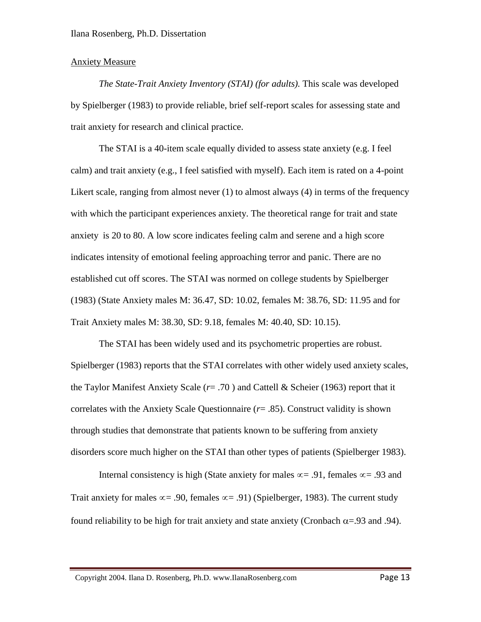## Anxiety Measure

*The State-Trait Anxiety Inventory (STAI) (for adults).* This scale was developed by Spielberger (1983) to provide reliable, brief self-report scales for assessing state and trait anxiety for research and clinical practice.

The STAI is a 40-item scale equally divided to assess state anxiety (e.g. I feel calm) and trait anxiety (e.g., I feel satisfied with myself). Each item is rated on a 4-point Likert scale, ranging from almost never (1) to almost always (4) in terms of the frequency with which the participant experiences anxiety. The theoretical range for trait and state anxiety is 20 to 80. A low score indicates feeling calm and serene and a high score indicates intensity of emotional feeling approaching terror and panic. There are no established cut off scores. The STAI was normed on college students by Spielberger (1983) (State Anxiety males M: 36.47, SD: 10.02, females M: 38.76, SD: 11.95 and for Trait Anxiety males M: 38.30, SD: 9.18, females M: 40.40, SD: 10.15).

The STAI has been widely used and its psychometric properties are robust. Spielberger (1983) reports that the STAI correlates with other widely used anxiety scales, the Taylor Manifest Anxiety Scale (*r*= .70 ) and Cattell & Scheier (1963) report that it correlates with the Anxiety Scale Questionnaire (*r*= .85). Construct validity is shown through studies that demonstrate that patients known to be suffering from anxiety disorders score much higher on the STAI than other types of patients (Spielberger 1983).

Internal consistency is high (State anxiety for males  $\infty = .91$ , females  $\infty = .93$  and Trait anxiety for males  $\infty$  = .90, females  $\infty$  = .91) (Spielberger, 1983). The current study found reliability to be high for trait anxiety and state anxiety (Cronbach  $\alpha = .93$  and .94).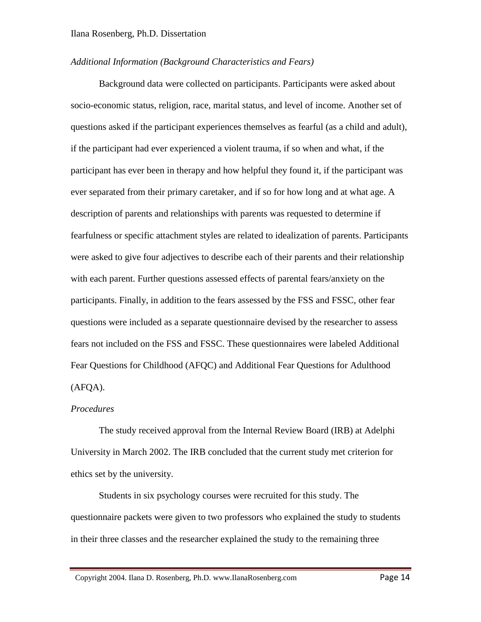#### *Additional Information (Background Characteristics and Fears)*

Background data were collected on participants. Participants were asked about socio-economic status, religion, race, marital status, and level of income. Another set of questions asked if the participant experiences themselves as fearful (as a child and adult), if the participant had ever experienced a violent trauma, if so when and what, if the participant has ever been in therapy and how helpful they found it, if the participant was ever separated from their primary caretaker, and if so for how long and at what age. A description of parents and relationships with parents was requested to determine if fearfulness or specific attachment styles are related to idealization of parents. Participants were asked to give four adjectives to describe each of their parents and their relationship with each parent. Further questions assessed effects of parental fears/anxiety on the participants. Finally, in addition to the fears assessed by the FSS and FSSC, other fear questions were included as a separate questionnaire devised by the researcher to assess fears not included on the FSS and FSSC. These questionnaires were labeled Additional Fear Questions for Childhood (AFQC) and Additional Fear Questions for Adulthood (AFQA).

#### *Procedures*

The study received approval from the Internal Review Board (IRB) at Adelphi University in March 2002. The IRB concluded that the current study met criterion for ethics set by the university.

Students in six psychology courses were recruited for this study. The questionnaire packets were given to two professors who explained the study to students in their three classes and the researcher explained the study to the remaining three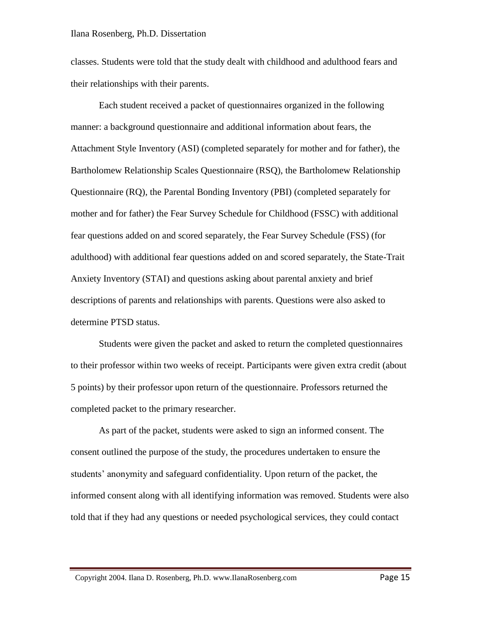classes. Students were told that the study dealt with childhood and adulthood fears and their relationships with their parents.

Each student received a packet of questionnaires organized in the following manner: a background questionnaire and additional information about fears, the Attachment Style Inventory (ASI) (completed separately for mother and for father), the Bartholomew Relationship Scales Questionnaire (RSQ), the Bartholomew Relationship Questionnaire (RQ), the Parental Bonding Inventory (PBI) (completed separately for mother and for father) the Fear Survey Schedule for Childhood (FSSC) with additional fear questions added on and scored separately, the Fear Survey Schedule (FSS) (for adulthood) with additional fear questions added on and scored separately, the State-Trait Anxiety Inventory (STAI) and questions asking about parental anxiety and brief descriptions of parents and relationships with parents. Questions were also asked to determine PTSD status.

Students were given the packet and asked to return the completed questionnaires to their professor within two weeks of receipt. Participants were given extra credit (about 5 points) by their professor upon return of the questionnaire. Professors returned the completed packet to the primary researcher.

As part of the packet, students were asked to sign an informed consent. The consent outlined the purpose of the study, the procedures undertaken to ensure the students' anonymity and safeguard confidentiality. Upon return of the packet, the informed consent along with all identifying information was removed. Students were also told that if they had any questions or needed psychological services, they could contact